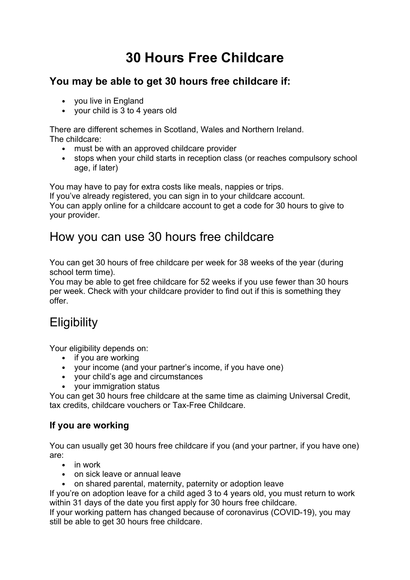# **30 Hours Free Childcare**

### **You may be able to get 30 hours free childcare if:**

- you live in England
- your child is 3 to 4 years old

There are different schemes in [Scotland,](http://www.earlylearningandchildcare.scot/600-hours-free-early-learning-and-childcare/) [Wales](http://gov.wales/topics/people-and-communities/people/children-and-young-people/childcare/?lang=en) and [Northern](http://www.nidirect.gov.uk/childcare) Ireland. The childcare:

- must be with an [approved](https://www.gov.uk/help-with-childcare-costs/what-counts-approved-childcare) childcare provider
- stops when your child starts in reception class (or reaches compulsory school age, if later)

You may have to pay for extra costs like meals, nappies or trips.

If you've already registered, you can sign in to your [childcare](https://www.gov.uk/sign-in-childcare-account) account. You can apply online for a childcare account to get a code for 30 hours to give to your provider.

### How you can use 30 hours free childcare

You can get 30 hours of free childcare per week for 38 weeks of the year (during school term time).

You may be able to get free childcare for 52 weeks if you use fewer than 30 hours per week. Check with your childcare provider to find out if this is something they offer.

# **Eligibility**

Your eligibility depends on:

- if you are working
- your income (and your partner's income, if you have one)
- your child's age and circumstances
- your immigration status

You can get 30 hours free childcare at the same time as claiming Universal Credit, tax credits, childcare vouchers or Tax-Free Childcare.

### **If you are working**

You can usually get 30 hours free childcare if you (and your partner, if you have one) are:

- in work
- on sick leave or annual leave
- on shared parental, maternity, paternity or adoption leave

If you're on adoption leave for a child aged 3 to 4 years old, you must return to work within 31 days of the date you first apply for 30 hours free childcare.

If your working pattern has changed because of coronavirus [\(COVID-19\),](https://www.gov.uk/guidance/check-if-you-can-get-tax-free-childcare-and-30-hours-free-childcare-during-coronavirus-covid-19) you may still be able to get 30 hours free childcare.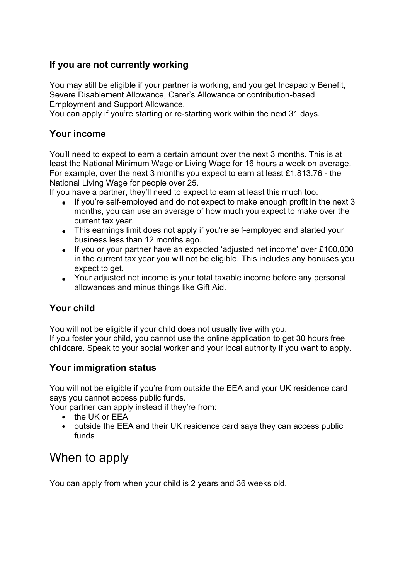#### **If you are not currently working**

You may still be eligible if your partner is working, and you get Incapacity Benefit, Severe Disablement Allowance, Carer's Allowance or contribution-based Employment and Support Allowance.

You can apply if you're starting or re-starting work within the next 31 days.

#### **Your income**

You'll need to expect to earn a certain amount over the next 3 months. This is at least the National [Minimum](https://www.gov.uk/national-minimum-wage-rates) Wage or Living Wage for 16 hours a week on average. For example, over the next 3 months you expect to earn at least £1,813.76 - the National Living Wage for people over 25.

If you have a partner, they'll need to expect to earn at least this much too.

- If you're self-employed and do not expect to make enough profit in the next 3 months, you can use an average of how much you expect to make over the current tax year.
- This earnings limit does not apply if you're self-employed and started your business less than 12 months ago.
- If you or your partner have an expected 'adjusted net income' over £100,000 in the current tax year you will not be eligible. This includes any bonuses you expect to get.
- Your adjusted net income is your total [taxable](https://www.gov.uk/guidance/adjusted-net-income) income before any personal allowances and minus things like Gift Aid.

#### **Your child**

You will not be eligible if your child does not usually live with you. If you foster your child, you cannot use the online application to get 30 hours free childcare. Speak to your social worker and your local [authority](https://www.gov.uk/find-local-council) if you want to apply.

#### **Your immigration status**

You will not be eligible if you're from [outside](https://www.gov.uk/eu-eea) the EEA and your UK residence card says you cannot access public funds.

Your partner can apply instead if they're from:

- the UK or EEA
- outside the EEA and their UK residence card says they can access public funds

### When to apply

You can apply from when your child is 2 years and 36 weeks old.